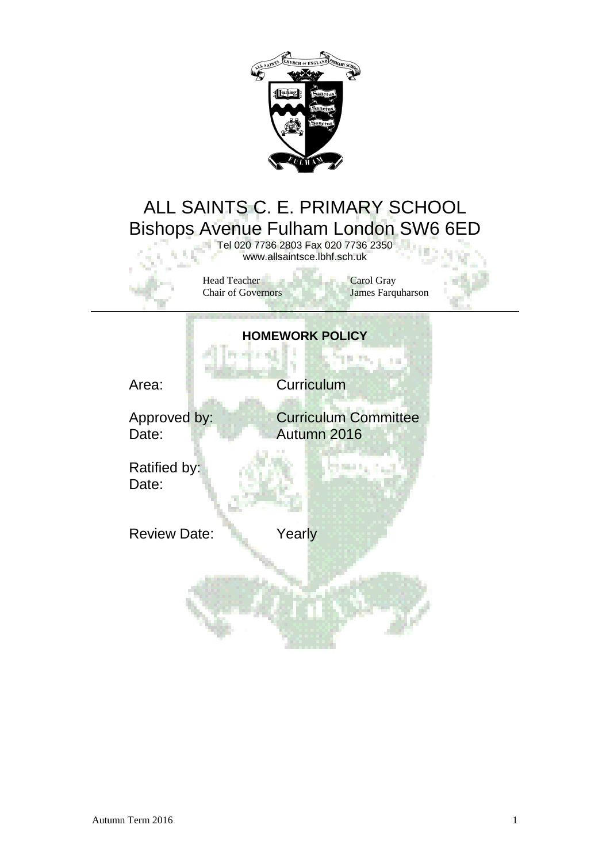

## ALL SAINTS C. E. PRIMARY SCHOOL Bishops Avenue Fulham London SW6 6ED

Tel 020 7736 2803 Fax 020 7736 2350 www.allsaintsce.lbhf.sch.uk

Head Teacher<br>
Carol Gray<br>
Carol Gray<br>
Carol Gray<br>
James Farquharson Chair of Governors

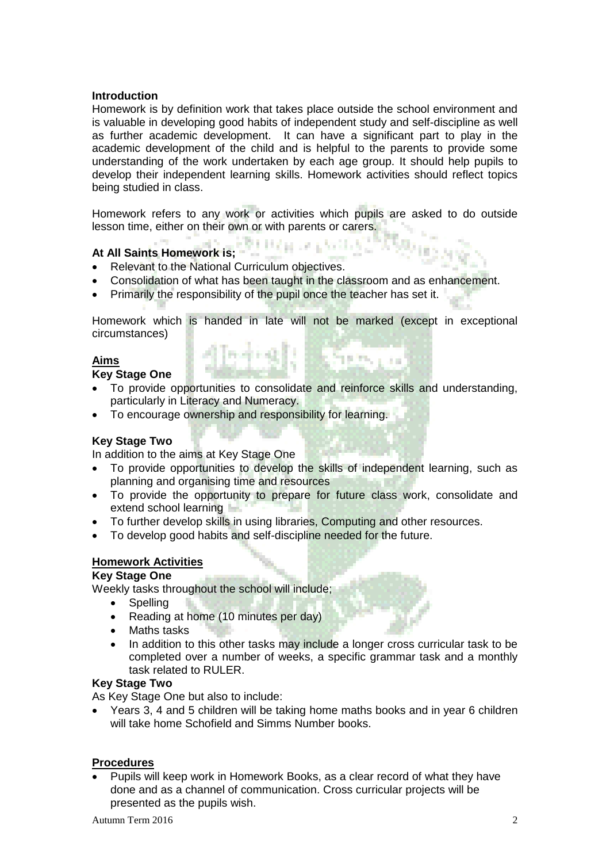#### **Introduction**

Homework is by definition work that takes place outside the school environment and is valuable in developing good habits of independent study and self-discipline as well as further academic development. It can have a significant part to play in the academic development of the child and is helpful to the parents to provide some understanding of the work undertaken by each age group. It should help pupils to develop their independent learning skills. Homework activities should reflect topics being studied in class.

Homework refers to any work or activities which pupils are asked to do outside lesson time, either on their own or with parents or carers.

# **At All Saints Homework is;**

- Relevant to the National Curriculum objectives.
- Consolidation of what has been taught in the classroom and as enhancement.
- Primarily the responsibility of the pupil once the teacher has set it.

Homework which is handed in late will not be marked (except in exceptional circumstances) district Exercise

### **Aims**

#### **Key Stage One**

- To provide opportunities to consolidate and reinforce skills and understanding, particularly in Literacy and Numeracy.
- To encourage ownership and responsibility for learning.

#### **Key Stage Two**

In addition to the aims at Key Stage One

- To provide opportunities to develop the skills of independent learning, such as planning and organising time and resources
- To provide the opportunity to prepare for future class work, consolidate and extend school learning
- To further develop skills in using libraries, Computing and other resources.
- To develop good habits and self-discipline needed for the future.

#### **Homework Activities**

#### **Key Stage One**

Weekly tasks throughout the school will include;

- Spelling
- Reading at home (10 minutes per day)
- Maths tasks
- In addition to this other tasks may include a longer cross curricular task to be completed over a number of weeks, a specific grammar task and a monthly task related to RULER.

#### **Key Stage Two**

As Key Stage One but also to include:

 Years 3, 4 and 5 children will be taking home maths books and in year 6 children will take home Schofield and Simms Number books.

#### **Procedures**

 Pupils will keep work in Homework Books, as a clear record of what they have done and as a channel of communication. Cross curricular projects will be presented as the pupils wish.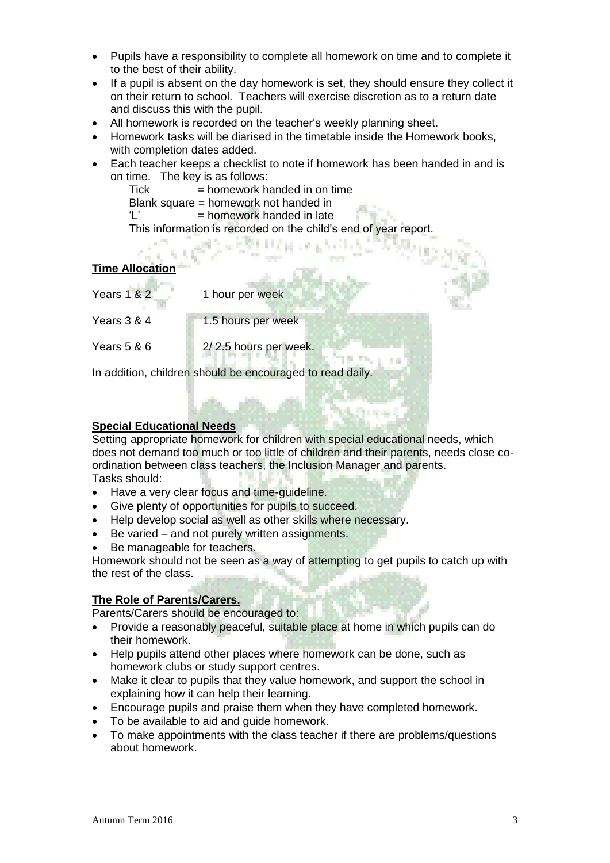- Pupils have a responsibility to complete all homework on time and to complete it to the best of their ability.
- If a pupil is absent on the day homework is set, they should ensure they collect it on their return to school. Teachers will exercise discretion as to a return date and discuss this with the pupil.
- All homework is recorded on the teacher's weekly planning sheet.
- Homework tasks will be diarised in the timetable inside the Homework books, with completion dates added.
- Each teacher keeps a checklist to note if homework has been handed in and is on time. The key is as follows:

地名美国

 $Tick$  = homework handed in on time Blank square = homework not handed in  $'L'$  = homework handed in late This information is recorded on the child's end of year report.

#### **Time Allocation**

| <b>Years 1 &amp; 2</b>                                    | 1 hour per week       |
|-----------------------------------------------------------|-----------------------|
| Years 3 & 4                                               | 1.5 hours per week    |
| Years 5 & 6                                               | 2/2.5 hours per week. |
| In addition, children should be encouraged to read daily. |                       |

**Special Educational Needs**

Setting appropriate homework for children with special educational needs, which does not demand too much or too little of children and their parents, needs close coordination between class teachers, the Inclusion Manager and parents. Tasks should:

- Have a very clear focus and time-guideline.
- Give plenty of opportunities for pupils to succeed.
- Help develop social as well as other skills where necessary.
- Be varied and not purely written assignments.
- Be manageable for teachers.

Homework should not be seen as a way of attempting to get pupils to catch up with the rest of the class.

#### **The Role of Parents/Carers.**

Parents/Carers should be encouraged to:

- Provide a reasonably peaceful, suitable place at home in which pupils can do their homework.
- Help pupils attend other places where homework can be done, such as homework clubs or study support centres.
- Make it clear to pupils that they value homework, and support the school in explaining how it can help their learning.
- Encourage pupils and praise them when they have completed homework.
- To be available to aid and guide homework.
- To make appointments with the class teacher if there are problems/questions about homework.